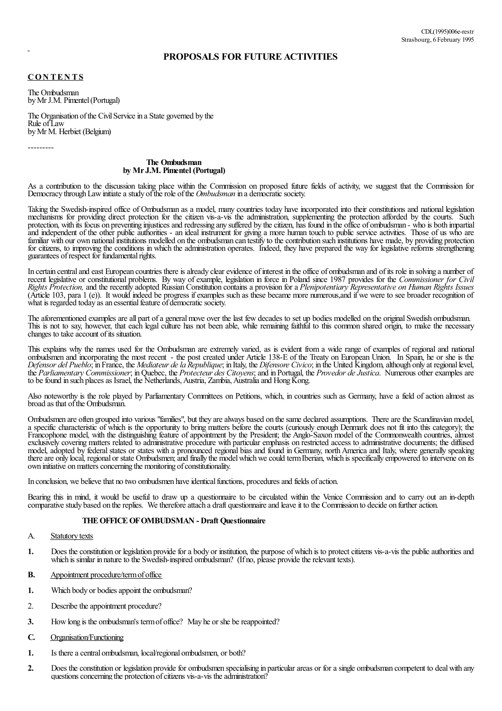# **PROPOSALS FOR FUTURE ACTIVITIES**

### **CON TEN TS**

The Ombudsman byMr J.M. Pimentel(Portugal)

The Organisation of the Civil Service in a State governed by the Rule of Law byMr M. Herbiet (Belgium)

---------

### **The Ombudsman by Mr J.M. Pimentel (Portugal)**

As a contribution to the discussion taking place within the Commission on proposed future fields of activity, we suggest that the Commission for Democracy through Law initiate a study of the role of the *Ombudsman* in a democratic society.

Taking the Swedish-inspired office of Ombudsman as a model, many countries today have incorporated into their constitutions and national legislation mechanisms for providing direct protection for the citizen vis-a-vis the administration, supplementing the protection afforded by the courts. Such protection, with its focus on preventing injusticesand redressing any suffered by thecitizen, has found in the office of ombudsman - who is both impartial and independent of the other public authorities - an ideal instrument for giving a more human touch to public service activities. Those of us who are familiar with our own national institutions modelled on the ombudsman can testify to the contribution such institutions have made, by providing protection for citizens, to improving the conditions in which the administration operates. Indeed, they have prepared the way for legislative reforms strengthening guarantees of respect for fundamental rights.

In certain central and east European countries there is already clear evidence of interest in the office of ombudsman and of its role in solving a number of recent legislative or constitutional problems. By way of example, legislation in force in Poland since 1987 provides for the *Commissioner for Civil Rights Protection,* and the recently adopted Russian Constitution contains a provision for a *Plenipotentiary Representative on Human Rights Issues* (Article 103, para 1 (e)). It would indeed be progress if examples such as these became more numerous, and if we were to see broader recognition of what is regarded today as an essential feature of democratic society.

The aforementioned examples are all part of a general move over the last few decades to set up bodies modelled on the original Swedish ombudsman. This is not to say, however, that each legal culture has not been able, while remaining faithful to this common shared origin, to make the necessary changes to take account of its situation.

This explains why the names used for the Ombudsman are extremely varied, as is evident from a wide range of examples of regional and national ombudsmen and incorporating the most recent - the post created under Article 138-E of the Treaty on European Union. In Spain, he or she is the *Defensor del Pueblo*; in France, the *Mediateur dela Republique*; in Italy, the *Difensore Civico*; in the United Kingdom, although only at regional level, the *Parliamentary Commissioner*; inQuebec, the *Protecteur des Citoyens*;and in Portugal, the *Provedor de Justica*. Numerous other examples are to be found in such places as Israel, the Netherlands, Austria, Zambia, Australia and Hong Kong.

Also noteworthy is the role played by Parliamentary Committees on Petitions, which, in countries such as Germany, have a field of action almost as broad as that of the Ombudsman.

Ombudsmen are often grouped into various "families", but they are always based on the same declared assumptions. There are the Scandinavian model, a specific characteristic of which is the opportunity to bring matters before the courts (curiously enough Denmark does not fit into this category); the Francophone model, with the distinguishing feature of appointment by the President; the Anglo-Saxon model of the Commonwealth countries, almost exclusively covering matters related to administrative procedure with particular emphasis on restricted access to administrative documents; the diffused model, adopted by federal states or states with a pronounced regional bias and found in Germany, northAmerica and Italy, where generally speaking there are only local, regional or state Ombudsmen; and finally the model which we could term Iberian, which is specifically empowered to intervene on its own initiative on matters concerning the monitoring of constitutionality.

In conclusion, we believe that no two ombudsmen have identical functions, procedures and fields of action.

Bearing this in mind, it would be useful to draw up a questionnaire to be circulated within the Venice Commission and to carry out an in-depth comparative study based on the replies. We therefore attach a draft questionnaire and leave it to the Commission to decide on further action.

### **THEOFFICEOFOMBUDSMAN - Draft Questionnaire**

- A. Statutory texts
- **1.** Does the constitution or legislation provide for a body or institution, the purpose of which is to protect citizens vis-a-vis the public authorities and which is similar in nature to the Swedish-inspired ombudsman? (If no, please provide the relevant texts).
- **B.** Appointment procedure/term of office
- **1.** Which body or bodies appoint the ombudsman?
- 2. Describe the appointment procedure?
- **3.** How long is the ombudsman's term of office? May he or she be reappointed?
- **C.** Organisation/Functioning
- 1. Is there a central ombudsman, local/regional ombudsmen, or both?
- **2.** Does the constitution or legislation provide for ombudsmen specialising in particular areas or for a single ombudsman competent to deal with any questions concerning the protection of citizens vis-a-vis the administration?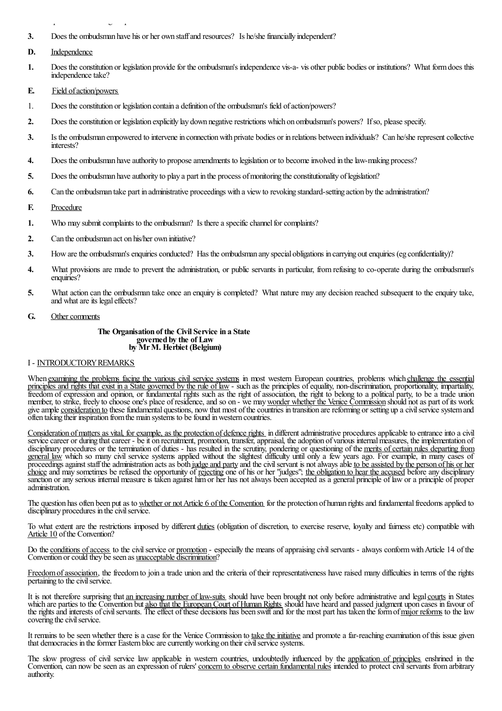$\mathbf{q}$  the protection of  $\mathbf{q}$ 

- **3.** Does the ombudsman have his or her own staffand resources? Is he/shefinancially independent?
- **D.** Independence
- **1.** Does the constitution or legislation provide for the ombudsman's independence vis-a- vis other public bodies or institutions? What form does this independence take?
- **E.** Field of action/powers
- 1. Does theconstitution or legislation contain a definition ofthe ombudsman's field ofaction/powers?
- **2.** Does the constitution or legislation explicitly lay down negative restrictions which on ombudsman's powers? If so, please specify.
- **3.** Is the ombudsman empowered to intervene in connection with private bodies or in relations between individuals? Can he/she represent collective interests?
- **4.** Does the ombudsman have authority to propose amendments to legislation or to become involved in the law-making process?
- **5.** Does the ombudsman have authority to play a part in the process of monitoring the constitutionality of legislation?
- **6.** Can the ombudsman take part in administrative proceedings with a view to revoking standard-setting action by the administration?
- **F.** Procedure
- **1.** Who may submit complaints to the ombudsman? Is there a specific channel for complaints?
- **2.** Can the ombudsman act on his/her own initiative?
- **3.** How are the ombudsman's enquiries conducted? Has the ombudsman any special obligations in carrying out enquiries (eg confidentiality)?
- **4.** What provisions are made to prevent the administration, or public servants in particular, fromrefusing to co-operate during the ombudsman's enquiries?
- **5.** What action can the ombudsman take once an enquiry is completed? What nature may any decision reached subsequent to the enquiry take, and what are its legal effects?
- G. Other comments

#### **The Organisation of the Civil Service in a State governed by the of Law by MrM. Herbiet (Belgium)**

#### I - INTRODUCTORY REMARKS

When examining the problems facing the various civil service systems in most western European countries, problems which challenge the essential principles and rights that exist in a State governed by the rule of law - such as the principles of equality, non-discrimination, proportionality, impartiality, freedom of expression and opinion, or fundamental rights such as the right of association, the right to belong to a political party, to be a trade union member, to strike, freely to choose one's place of residence, and so on - we may wonder whether the Venice Commission should not as part of its work give ample consideration to these fundamental questions, now that most of the countries in transition are reforming or setting up a civil service system and often taking their inspiration from the main systems to be found in western countries.

Consideration of matters as vital, for example, as the protection of defence rights in different administrative procedures applicable to entrance into a civil service career or during that career - be it on recruitment, promotion, transfer, appraisal, the adoption of various internal measures, the implementation of disciplinary procedures or the termination of duties - has resulted in the scrutiny, pondering or questioning of the merits of certain rules departing from general law which so many civil service systems applied without the slightest difficulty until only a few years ago. For example, in many cases of proceedings against staff the administration acts as both judge and party and the civil servant is not always able to be assisted by the person of his or her choice and may sometimes be refused the opportunity of rejecting one of his or her "judges"; the obligation to hear the accused before any disciplinary sanction or any serious internal measure is taken against him or her has not always been accepted as a general principle of law or a principle of proper administration.

The question has often been put as to whether or not Article 6 of the Convention for the protection of human rights and fundamental freedoms applied to disciplinary procedures in the civil service.

To what extent are the restrictions imposed by different duties (obligation of discretion, to exercise reserve, loyalty and fairness etc) compatible with Article 10 of the Convention?

Do the conditions of access to the civil service or promotion - especially the means of appraising civil servants - always conform with Article 14 of the Convention or could they be seen as unacceptable discrimination?

Freedom of association, the freedom to join a trade union and the criteria of their representativeness have raised many difficulties in terms of the rights pertaining to the civil service.

It is not therefore surprising that an increasing number of law-suits should have been brought not only before administrative and legal courts in States which are parties to the Convention but also that the European Court of Human Rights should have heard and passed judgment upon cases in favour of the rights and interests of civil servants. The effect of these decisions has been swift and for the most part has taken the form of major reforms to the law covering the civil service.

It remains to be seen whether there is a case for the Venice Commission to take the initiative and promote a far-reaching examination of this issue given that democracies in the former Eastern bloc are currently working on their civil service systems.

The slow progress of civil service law applicable in western countries, undoubtedly influenced by the application of principles enshrined in the Convention, can now be seen as an expression of rulers' concern to observe certain fundamental rules intended to protect civil servants from arbitrary authority.